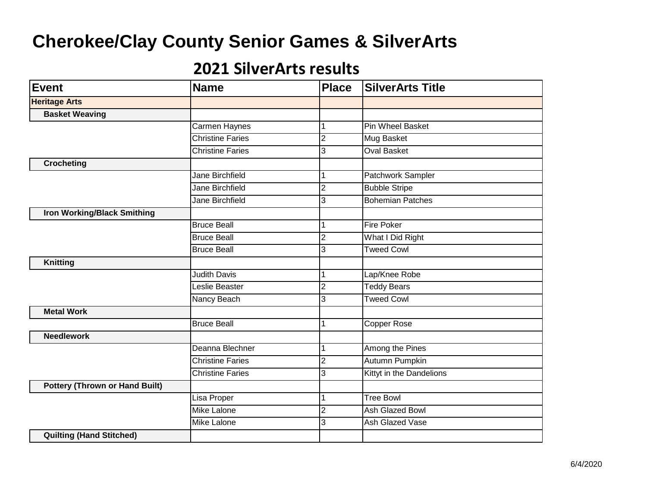| <b>Event</b>                          | Name                    | <b>Place</b>   | <b>SilverArts Title</b>  |
|---------------------------------------|-------------------------|----------------|--------------------------|
| <b>Heritage Arts</b>                  |                         |                |                          |
| <b>Basket Weaving</b>                 |                         |                |                          |
|                                       | Carmen Haynes           |                | <b>Pin Wheel Basket</b>  |
|                                       | <b>Christine Faries</b> | 2              | Mug Basket               |
|                                       | <b>Christine Faries</b> | 3              | <b>Oval Basket</b>       |
| <b>Crocheting</b>                     |                         |                |                          |
|                                       | <b>Jane Birchfield</b>  |                | Patchwork Sampler        |
|                                       | <b>Jane Birchfield</b>  | $\overline{2}$ | <b>Bubble Stripe</b>     |
|                                       | <b>Jane Birchfield</b>  | 3              | <b>Bohemian Patches</b>  |
| <b>Iron Working/Black Smithing</b>    |                         |                |                          |
|                                       | <b>Bruce Beall</b>      |                | <b>Fire Poker</b>        |
|                                       | <b>Bruce Beall</b>      | $\overline{2}$ | What I Did Right         |
|                                       | <b>Bruce Beall</b>      | 3              | <b>Tweed Cowl</b>        |
| <b>Knitting</b>                       |                         |                |                          |
|                                       | <b>Judith Davis</b>     | 1              | Lap/Knee Robe            |
|                                       | Leslie Beaster          | 2              | <b>Teddy Bears</b>       |
|                                       | Nancy Beach             | 3              | <b>Tweed Cowl</b>        |
| <b>Metal Work</b>                     |                         |                |                          |
|                                       | <b>Bruce Beall</b>      | 1              | Copper Rose              |
| <b>Needlework</b>                     |                         |                |                          |
|                                       | Deanna Blechner         |                | Among the Pines          |
|                                       | <b>Christine Faries</b> | $\overline{2}$ | Autumn Pumpkin           |
|                                       | <b>Christine Faries</b> | 3              | Kittyt in the Dandelions |
| <b>Pottery (Thrown or Hand Built)</b> |                         |                |                          |
|                                       | Lisa Proper             | 1              | <b>Tree Bowl</b>         |
|                                       | Mike Lalone             | 2              | Ash Glazed Bowl          |
|                                       | <b>Mike Lalone</b>      | 3              | <b>Ash Glazed Vase</b>   |
| <b>Quilting (Hand Stitched)</b>       |                         |                |                          |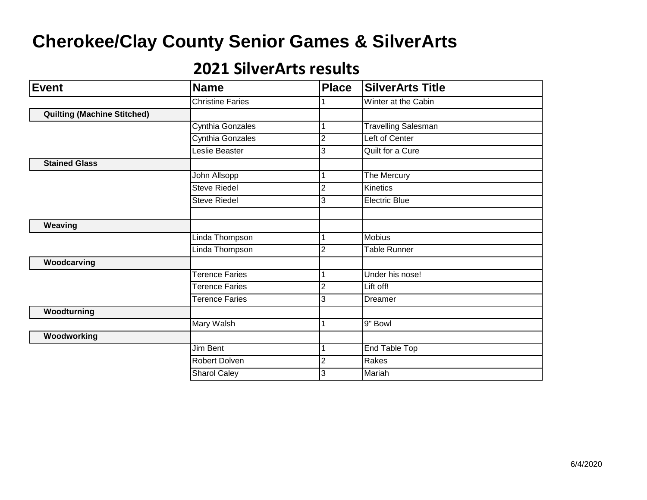| <b>Event</b>                       | <b>Name</b>             | <b>Place</b>   | <b>SilverArts Title</b>    |
|------------------------------------|-------------------------|----------------|----------------------------|
|                                    | <b>Christine Faries</b> |                | Winter at the Cabin        |
| <b>Quilting (Machine Stitched)</b> |                         |                |                            |
|                                    | Cynthia Gonzales        |                | <b>Travelling Salesman</b> |
|                                    | Cynthia Gonzales        | $\overline{2}$ | Left of Center             |
|                                    | Leslie Beaster          | 3              | Quilt for a Cure           |
| <b>Stained Glass</b>               |                         |                |                            |
|                                    | John Allsopp            |                | The Mercury                |
|                                    | <b>Steve Riedel</b>     | $\overline{2}$ | Kinetics                   |
|                                    | <b>Steve Riedel</b>     | 3              | <b>Electric Blue</b>       |
|                                    |                         |                |                            |
| Weaving                            |                         |                |                            |
|                                    | Linda Thompson          |                | <b>Mobius</b>              |
|                                    | Linda Thompson          | $\overline{c}$ | <b>Table Runner</b>        |
| Woodcarving                        |                         |                |                            |
|                                    | <b>Terence Faries</b>   |                | Under his nose!            |
|                                    | Terence Faries          | $\overline{2}$ | Lift off!                  |
|                                    | <b>Terence Faries</b>   | 3              | Dreamer                    |
| Woodturning                        |                         |                |                            |
|                                    | Mary Walsh              | 1              | 9" Bowl                    |
| Woodworking                        |                         |                |                            |
|                                    | Jim Bent                | 1              | End Table Top              |
|                                    | Robert Dolven           | 2              | Rakes                      |
|                                    | <b>Sharol Caley</b>     | 3              | Mariah                     |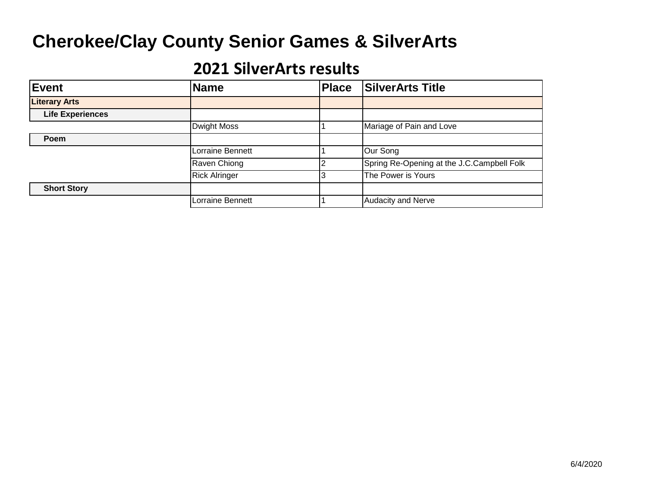| Event                   | <b>Name</b>          | <b>Place</b> | <b>SilverArts Title</b>                    |
|-------------------------|----------------------|--------------|--------------------------------------------|
| <b>Literary Arts</b>    |                      |              |                                            |
| <b>Life Experiences</b> |                      |              |                                            |
|                         | <b>Dwight Moss</b>   |              | Mariage of Pain and Love                   |
| Poem                    |                      |              |                                            |
|                         | Lorraine Bennett     |              | Our Song                                   |
|                         | Raven Chiong         |              | Spring Re-Opening at the J.C.Campbell Folk |
|                         | <b>Rick Alringer</b> |              | The Power is Yours                         |
| <b>Short Story</b>      |                      |              |                                            |
|                         | Lorraine Bennett     |              | <b>Audacity and Nerve</b>                  |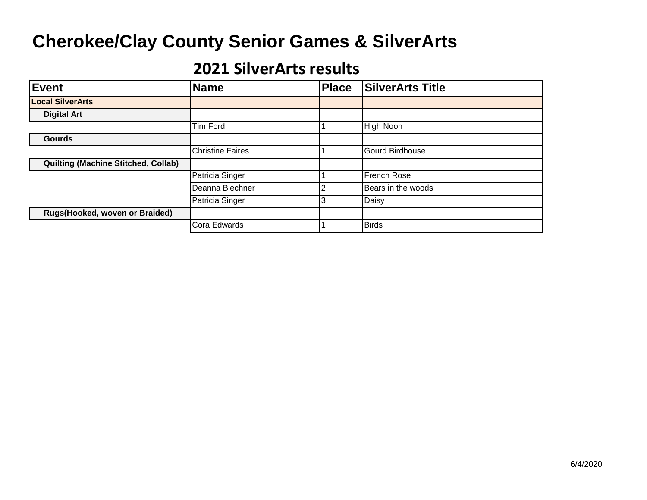| <b>Event</b>                               | <b>Name</b>             | <b>Place</b> | <b>SilverArts Title</b> |
|--------------------------------------------|-------------------------|--------------|-------------------------|
| <b>Local SilverArts</b>                    |                         |              |                         |
| <b>Digital Art</b>                         |                         |              |                         |
|                                            | <b>Tim Ford</b>         |              | High Noon               |
| <b>Gourds</b>                              |                         |              |                         |
|                                            | <b>Christine Faires</b> |              | <b>Gourd Birdhouse</b>  |
| <b>Quilting (Machine Stitched, Collab)</b> |                         |              |                         |
|                                            | Patricia Singer         |              | <b>French Rose</b>      |
|                                            | Deanna Blechner         | າ            | Bears in the woods      |
|                                            | Patricia Singer         | 3            | Daisy                   |
| Rugs(Hooked, woven or Braided)             |                         |              |                         |
|                                            | Cora Edwards            |              | <b>Birds</b>            |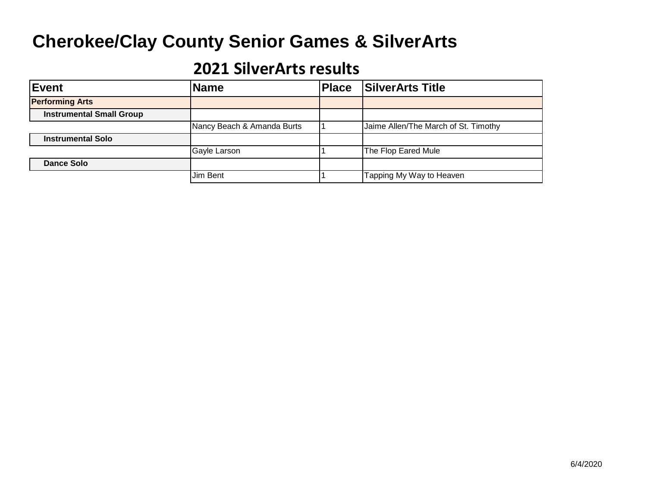| Event                           | <b>Name</b>                | <b>Place</b> | <b>SilverArts Title</b>              |
|---------------------------------|----------------------------|--------------|--------------------------------------|
| <b>Performing Arts</b>          |                            |              |                                      |
| <b>Instrumental Small Group</b> |                            |              |                                      |
|                                 | Nancy Beach & Amanda Burts |              | Jaime Allen/The March of St. Timothy |
| <b>Instrumental Solo</b>        |                            |              |                                      |
|                                 | Gayle Larson               |              | The Flop Eared Mule                  |
| <b>Dance Solo</b>               |                            |              |                                      |
|                                 | Jim Bent                   |              | Tapping My Way to Heaven             |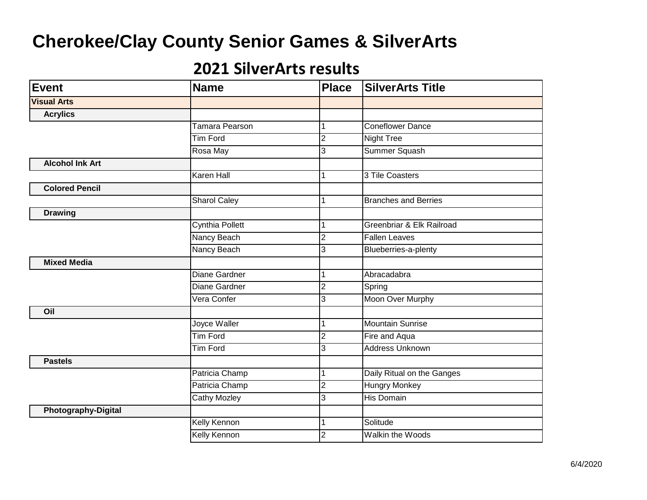| <b>Event</b>               | <b>Name</b>         | <b>Place</b>   | <b>SilverArts Title</b>     |
|----------------------------|---------------------|----------------|-----------------------------|
| <b>Visual Arts</b>         |                     |                |                             |
| <b>Acrylics</b>            |                     |                |                             |
|                            | Tamara Pearson      |                | <b>Coneflower Dance</b>     |
|                            | <b>Tim Ford</b>     | 2              | <b>Night Tree</b>           |
|                            | Rosa May            | 3              | Summer Squash               |
| <b>Alcohol Ink Art</b>     |                     |                |                             |
|                            | <b>Karen Hall</b>   |                | 3 Tile Coasters             |
| <b>Colored Pencil</b>      |                     |                |                             |
|                            | <b>Sharol Caley</b> |                | <b>Branches and Berries</b> |
| <b>Drawing</b>             |                     |                |                             |
|                            | Cynthia Pollett     |                | Greenbriar & Elk Railroad   |
|                            | Nancy Beach         | 2              | <b>Fallen Leaves</b>        |
|                            | Nancy Beach         | 3              | Blueberries-a-plenty        |
| <b>Mixed Media</b>         |                     |                |                             |
|                            | Diane Gardner       | 1              | Abracadabra                 |
|                            | Diane Gardner       | 2              | Spring                      |
|                            | Vera Confer         | 3              | Moon Over Murphy            |
| Oil                        |                     |                |                             |
|                            | Joyce Waller        |                | <b>Mountain Sunrise</b>     |
|                            | <b>Tim Ford</b>     | $\overline{2}$ | Fire and Aqua               |
|                            | <b>Tim Ford</b>     | 3              | <b>Address Unknown</b>      |
| <b>Pastels</b>             |                     |                |                             |
|                            | Patricia Champ      | 1              | Daily Ritual on the Ganges  |
|                            | Patricia Champ      | $\overline{2}$ | <b>Hungry Monkey</b>        |
|                            | Cathy Mozley        | 3              | His Domain                  |
| <b>Photography-Digital</b> |                     |                |                             |
|                            | <b>Kelly Kennon</b> | 1              | Solitude                    |
|                            | Kelly Kennon        | 2              | Walkin the Woods            |